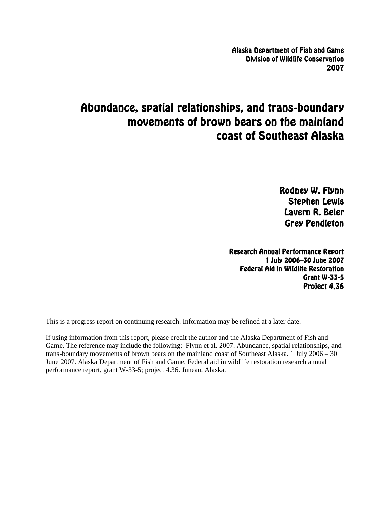Alaska Department of Fish and Game Division of Wildlife Conservation 2007

# Abundance, spatial relationships, and trans-boundary movements of brown bears on the mainland coast of Southeast Alaska

Rodney W. Flynn Stephen Lewis Lavern R. Beier Grey Pendleton

Research Annual Performance Report 1 July 2006–30 June 2007 Federal Aid in Wildlife Restoration Grant W-33-5 Project 4.36

This is a progress report on continuing research. Information may be refined at a later date.

If using information from this report, please credit the author and the Alaska Department of Fish and Game. The reference may include the following: Flynn et al. 2007. Abundance, spatial relationships, and trans-boundary movements of brown bears on the mainland coast of Southeast Alaska. 1 July 2006 – 30 June 2007. Alaska Department of Fish and Game. Federal aid in wildlife restoration research annual performance report, grant W-33-5; project 4.36. Juneau, Alaska.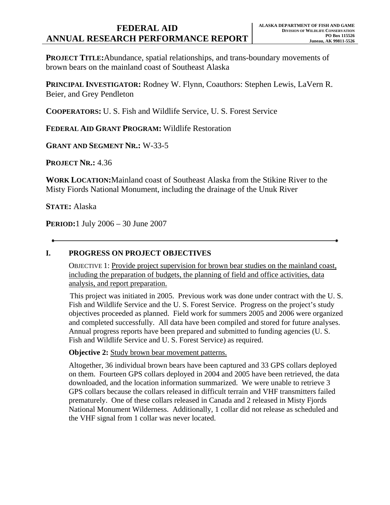## **FEDERAL AID ANNUAL RESEARCH PERFORMANCE REPORT**

**PROJECT TITLE:**Abundance, spatial relationships, and trans-boundary movements of brown bears on the mainland coast of Southeast Alaska

**PRINCIPAL INVESTIGATOR:** Rodney W. Flynn, Coauthors: Stephen Lewis, LaVern R. Beier, and Grey Pendleton

**COOPERATORS:** U. S. Fish and Wildlife Service, U. S. Forest Service

**FEDERAL AID GRANT PROGRAM:** Wildlife Restoration

**GRANT AND SEGMENT NR.:** W-33-5

**PROJECT NR.:** 4.36

**WORK LOCATION:**Mainland coast of Southeast Alaska from the Stikine River to the Misty Fiords National Monument, including the drainage of the Unuk River

**STATE:** Alaska

**PERIOD:**1 July 2006 – 30 June 2007

#### **I. PROGRESS ON PROJECT OBJECTIVES**

OBJECTIVE 1: Provide project supervision for brown bear studies on the mainland coast, including the preparation of budgets, the planning of field and office activities, data analysis, and report preparation.

This project was initiated in 2005. Previous work was done under contract with the U. S. Fish and Wildlife Service and the U. S. Forest Service. Progress on the project's study objectives proceeded as planned. Field work for summers 2005 and 2006 were organized and completed successfully. All data have been compiled and stored for future analyses. Annual progress reports have been prepared and submitted to funding agencies (U. S. Fish and Wildlife Service and U. S. Forest Service) as required.

**Objective 2:** Study brown bear movement patterns.

Altogether, 36 individual brown bears have been captured and 33 GPS collars deployed on them. Fourteen GPS collars deployed in 2004 and 2005 have been retrieved, the data downloaded, and the location information summarized. We were unable to retrieve 3 GPS collars because the collars released in difficult terrain and VHF transmitters failed prematurely. One of these collars released in Canada and 2 released in Misty Fjords National Monument Wilderness. Additionally, 1 collar did not release as scheduled and the VHF signal from 1 collar was never located.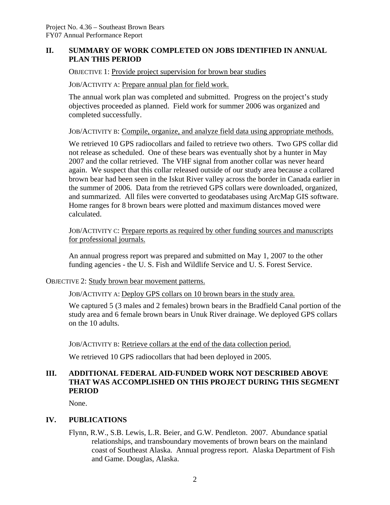#### **II. SUMMARY OF WORK COMPLETED ON JOBS IDENTIFIED IN ANNUAL PLAN THIS PERIOD**

OBJECTIVE 1: Provide project supervision for brown bear studies

JOB/ACTIVITY A: Prepare annual plan for field work.

The annual work plan was completed and submitted. Progress on the project's study objectives proceeded as planned. Field work for summer 2006 was organized and completed successfully.

JOB/ACTIVITY B: Compile, organize, and analyze field data using appropriate methods.

We retrieved 10 GPS radiocollars and failed to retrieve two others. Two GPS collar did not release as scheduled. One of these bears was eventually shot by a hunter in May 2007 and the collar retrieved. The VHF signal from another collar was never heard again. We suspect that this collar released outside of our study area because a collared brown bear had been seen in the Iskut River valley across the border in Canada earlier in the summer of 2006. Data from the retrieved GPS collars were downloaded, organized, and summarized. All files were converted to geodatabases using ArcMap GIS software. Home ranges for 8 brown bears were plotted and maximum distances moved were calculated.

JOB/ACTIVITY C: Prepare reports as required by other funding sources and manuscripts for professional journals.

An annual progress report was prepared and submitted on May 1, 2007 to the other funding agencies - the U. S. Fish and Wildlife Service and U. S. Forest Service.

#### OBJECTIVE 2: Study brown bear movement patterns.

JOB/ACTIVITY A: Deploy GPS collars on 10 brown bears in the study area.

We captured 5 (3 males and 2 females) brown bears in the Bradfield Canal portion of the study area and 6 female brown bears in Unuk River drainage. We deployed GPS collars on the 10 adults.

JOB/ACTIVITY B: Retrieve collars at the end of the data collection period.

We retrieved 10 GPS radiocollars that had been deployed in 2005.

### **III. ADDITIONAL FEDERAL AID-FUNDED WORK NOT DESCRIBED ABOVE THAT WAS ACCOMPLISHED ON THIS PROJECT DURING THIS SEGMENT PERIOD**

None.

#### **IV. PUBLICATIONS**

Flynn, R.W., S.B. Lewis, L.R. Beier, and G.W. Pendleton. 2007. Abundance spatial relationships, and transboundary movements of brown bears on the mainland coast of Southeast Alaska. Annual progress report. Alaska Department of Fish and Game. Douglas, Alaska.